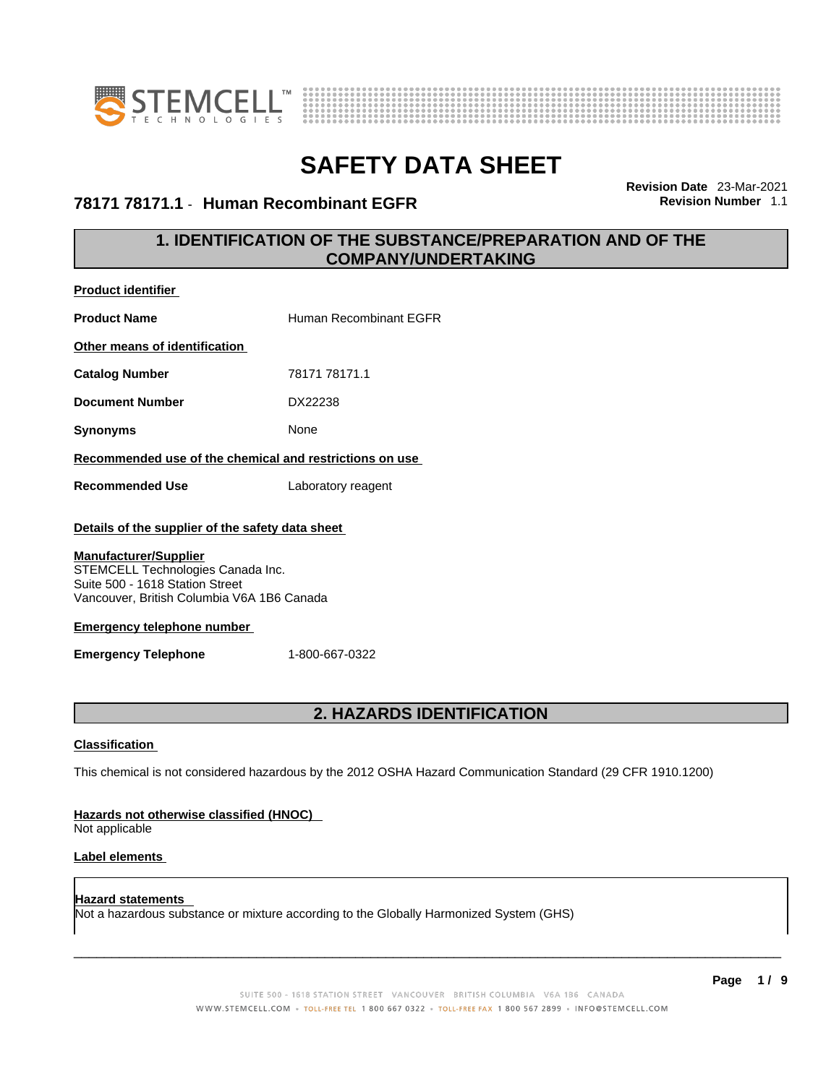



### **78171 78171.1** - **Human Recombinant EGFR Revision Number** 1.1

**Revision Date** 23-Mar-2021

### **1. IDENTIFICATION OF THE SUBSTANCE/PREPARATION AND OF THE COMPANY/UNDERTAKING**

| <b>Product identifier</b>                                                                                                                          |                                                         |  |  |
|----------------------------------------------------------------------------------------------------------------------------------------------------|---------------------------------------------------------|--|--|
| <b>Product Name</b>                                                                                                                                | Human Recombinant EGFR                                  |  |  |
| Other means of identification                                                                                                                      |                                                         |  |  |
| <b>Catalog Number</b>                                                                                                                              | 78171 78171.1                                           |  |  |
| <b>Document Number</b>                                                                                                                             | DX22238                                                 |  |  |
| <b>Synonyms</b>                                                                                                                                    | None                                                    |  |  |
|                                                                                                                                                    | Recommended use of the chemical and restrictions on use |  |  |
| <b>Recommended Use</b>                                                                                                                             | Laboratory reagent                                      |  |  |
| Details of the supplier of the safety data sheet                                                                                                   |                                                         |  |  |
| <b>Manufacturer/Supplier</b><br>STEMCELL Technologies Canada Inc.<br>Suite 500 - 1618 Station Street<br>Vancouver, British Columbia V6A 1B6 Canada |                                                         |  |  |
| <b>Emergency telephone number</b>                                                                                                                  |                                                         |  |  |
| <b>Emergency Telephone</b>                                                                                                                         | 1-800-667-0322                                          |  |  |
|                                                                                                                                                    |                                                         |  |  |

### **2. HAZARDS IDENTIFICATION**

### **Classification**

This chemical is not considered hazardous by the 2012 OSHA Hazard Communication Standard (29 CFR 1910.1200)

### **Hazards not otherwise classified (HNOC)**

Not applicable

### **Label elements**

**Hazard statements**  Not a hazardous substance or mixture according to the Globally Harmonized System (GHS)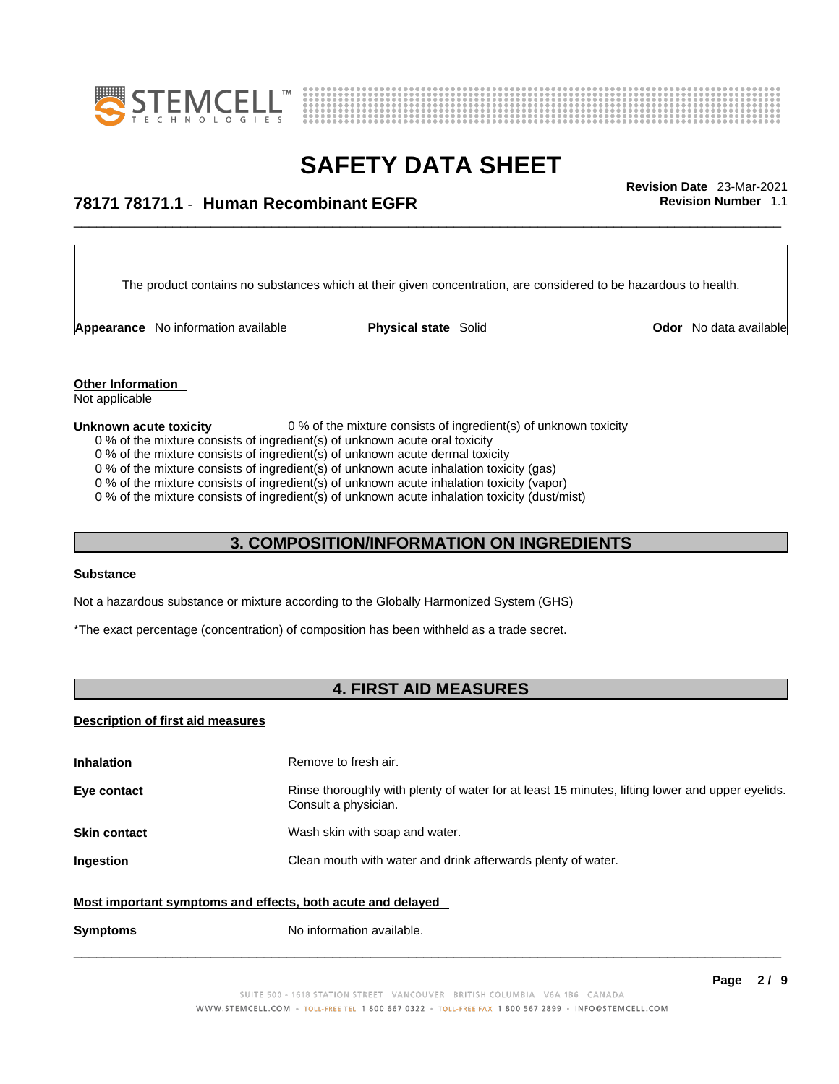



## \_\_\_\_\_\_\_\_\_\_\_\_\_\_\_\_\_\_\_\_\_\_\_\_\_\_\_\_\_\_\_\_\_\_\_\_\_\_\_\_\_\_\_\_\_\_\_\_\_\_\_\_\_\_\_\_\_\_\_\_\_\_\_\_\_\_\_\_\_\_\_\_\_\_\_\_\_\_\_\_\_\_\_\_\_\_\_\_\_\_\_\_\_ **Revision Date** 23-Mar-2021 **78171 78171.1** - **Human Recombinant EGFR Revision Number** 1.1

The product contains no substances which at their given concentration, are considered to be hazardous to health.

**Appearance** No information available **Physical state** Solid **Constant Constant Constant Constant Constant Physical state** Solid **Constant Constant Constant Physical state** Solid

**Other Information**  Not applicable

#### **Unknown acute toxicity** 0 % of the mixture consists of ingredient(s) of unknown toxicity

- 0 % of the mixture consists of ingredient(s) of unknown acute oral toxicity
- 0 % of the mixture consists of ingredient(s) of unknown acute dermal toxicity
- 0 % of the mixture consists of ingredient(s) of unknown acute inhalation toxicity (gas)
- 0 % of the mixture consists of ingredient(s) of unknown acute inhalation toxicity (vapor)

0 % of the mixture consists of ingredient(s) of unknown acute inhalation toxicity (dust/mist)

### **3. COMPOSITION/INFORMATION ON INGREDIENTS**

### **Substance**

Not a hazardous substance or mixture according to the Globally Harmonized System (GHS)

\*The exact percentage (concentration) of composition has been withheld as a trade secret.

### **4. FIRST AID MEASURES**

#### **Description of first aid measures**

| <b>Inhalation</b>                                           | Remove to fresh air.                                                                                                    |  |
|-------------------------------------------------------------|-------------------------------------------------------------------------------------------------------------------------|--|
| Eye contact                                                 | Rinse thoroughly with plenty of water for at least 15 minutes, lifting lower and upper eyelids.<br>Consult a physician. |  |
| <b>Skin contact</b>                                         | Wash skin with soap and water.                                                                                          |  |
| Ingestion                                                   | Clean mouth with water and drink afterwards plenty of water.                                                            |  |
| Most important symptoms and effects, both acute and delayed |                                                                                                                         |  |
| <b>Symptoms</b>                                             | No information available.                                                                                               |  |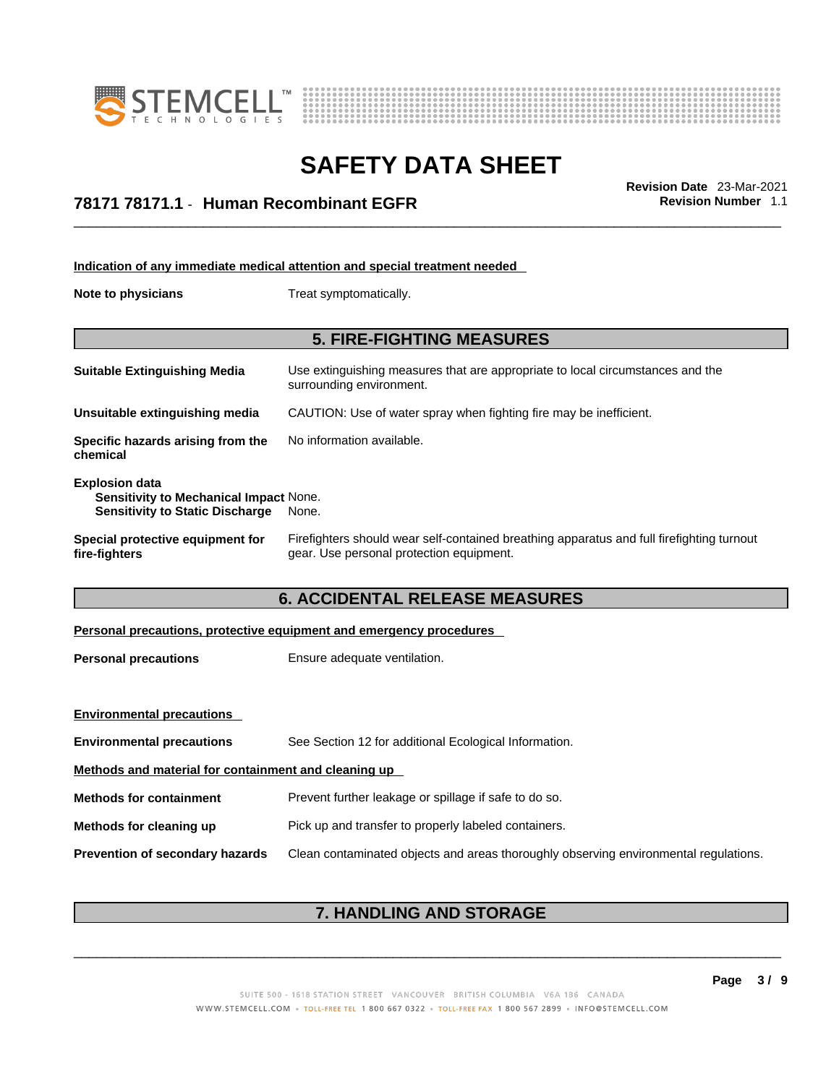



## \_\_\_\_\_\_\_\_\_\_\_\_\_\_\_\_\_\_\_\_\_\_\_\_\_\_\_\_\_\_\_\_\_\_\_\_\_\_\_\_\_\_\_\_\_\_\_\_\_\_\_\_\_\_\_\_\_\_\_\_\_\_\_\_\_\_\_\_\_\_\_\_\_\_\_\_\_\_\_\_\_\_\_\_\_\_\_\_\_\_\_\_\_ **Revision Date** 23-Mar-2021 **78171 78171.1** - **Human Recombinant EGFR Revision Number** 1.1

|                                                                                                                  | Indication of any immediate medical attention and special treatment needed                                                            |  |
|------------------------------------------------------------------------------------------------------------------|---------------------------------------------------------------------------------------------------------------------------------------|--|
| Note to physicians                                                                                               | Treat symptomatically.                                                                                                                |  |
|                                                                                                                  |                                                                                                                                       |  |
|                                                                                                                  | <b>5. FIRE-FIGHTING MEASURES</b>                                                                                                      |  |
| <b>Suitable Extinguishing Media</b>                                                                              | Use extinguishing measures that are appropriate to local circumstances and the<br>surrounding environment.                            |  |
| Unsuitable extinguishing media                                                                                   | CAUTION: Use of water spray when fighting fire may be inefficient.                                                                    |  |
| Specific hazards arising from the<br>chemical                                                                    | No information available.                                                                                                             |  |
| <b>Explosion data</b><br><b>Sensitivity to Mechanical Impact None.</b><br><b>Sensitivity to Static Discharge</b> | None.                                                                                                                                 |  |
| <b>Special protective equipment for</b><br>fire-fighters                                                         | Firefighters should wear self-contained breathing apparatus and full firefighting turnout<br>gear. Use personal protection equipment. |  |
|                                                                                                                  | <b>6. ACCIDENTAL RELEASE MEASURES</b>                                                                                                 |  |
|                                                                                                                  | Personal precautions, protective equipment and emergency procedures                                                                   |  |
| <b>Personal precautions</b>                                                                                      | Ensure adequate ventilation.                                                                                                          |  |
|                                                                                                                  |                                                                                                                                       |  |

| <b>Environmental precautions</b>                     |                                                                                      |  |
|------------------------------------------------------|--------------------------------------------------------------------------------------|--|
| <b>Environmental precautions</b>                     | See Section 12 for additional Ecological Information.                                |  |
| Methods and material for containment and cleaning up |                                                                                      |  |
| <b>Methods for containment</b>                       | Prevent further leakage or spillage if safe to do so.                                |  |
| Methods for cleaning up                              | Pick up and transfer to properly labeled containers.                                 |  |
| <b>Prevention of secondary hazards</b>               | Clean contaminated objects and areas thoroughly observing environmental regulations. |  |

### **7. HANDLING AND STORAGE**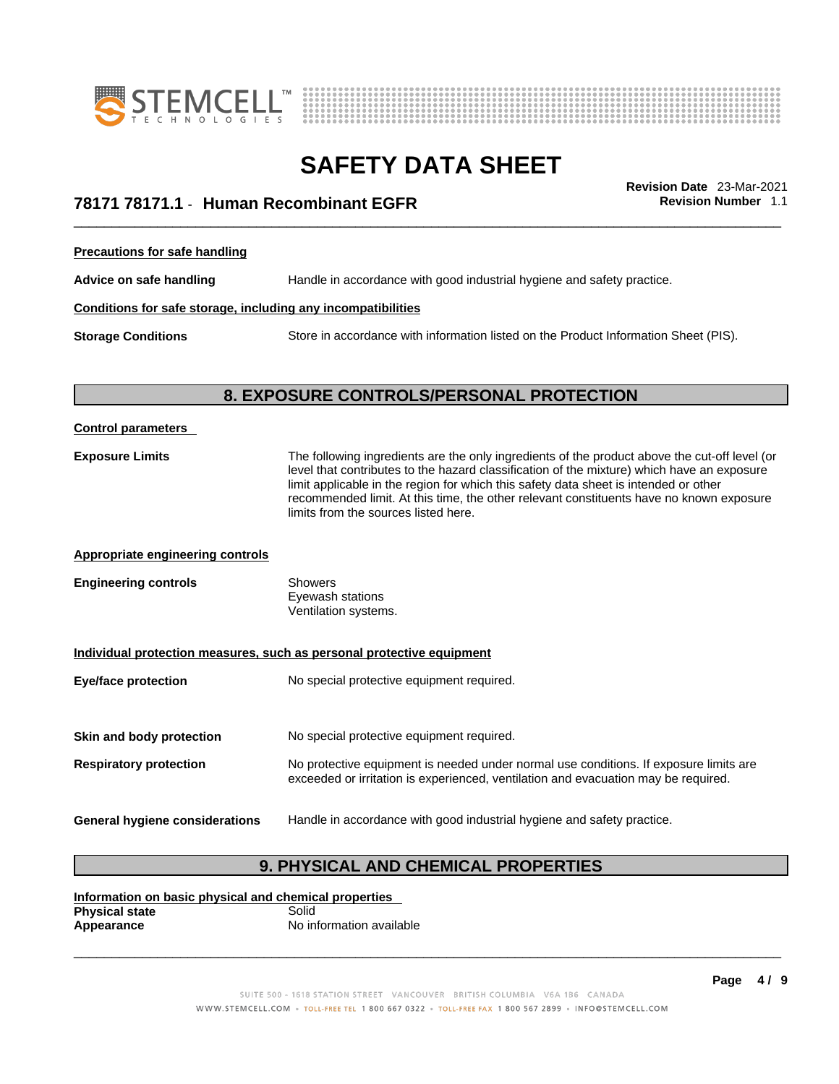



## \_\_\_\_\_\_\_\_\_\_\_\_\_\_\_\_\_\_\_\_\_\_\_\_\_\_\_\_\_\_\_\_\_\_\_\_\_\_\_\_\_\_\_\_\_\_\_\_\_\_\_\_\_\_\_\_\_\_\_\_\_\_\_\_\_\_\_\_\_\_\_\_\_\_\_\_\_\_\_\_\_\_\_\_\_\_\_\_\_\_\_\_\_ **Revision Date** 23-Mar-2021 **78171 78171.1** - **Human Recombinant EGFR Revision Number** 1.1

**Precautions for safe handling**

**Advice on safe handling** Handle in accordance with good industrial hygiene and safety practice.

### **Conditions for safe storage, including any incompatibilities**

**Storage Conditions** Store in accordance with information listed on the Product Information Sheet (PIS).

### **8. EXPOSURE CONTROLS/PERSONAL PROTECTION**

| <b>Control parameters</b>               |                                                                                                                                                                                                                                                                                                                                                                                                                        |  |  |
|-----------------------------------------|------------------------------------------------------------------------------------------------------------------------------------------------------------------------------------------------------------------------------------------------------------------------------------------------------------------------------------------------------------------------------------------------------------------------|--|--|
| <b>Exposure Limits</b>                  | The following ingredients are the only ingredients of the product above the cut-off level (or<br>level that contributes to the hazard classification of the mixture) which have an exposure<br>limit applicable in the region for which this safety data sheet is intended or other<br>recommended limit. At this time, the other relevant constituents have no known exposure<br>limits from the sources listed here. |  |  |
| <b>Appropriate engineering controls</b> |                                                                                                                                                                                                                                                                                                                                                                                                                        |  |  |
| <b>Engineering controls</b>             | Showers<br>Eyewash stations<br>Ventilation systems.                                                                                                                                                                                                                                                                                                                                                                    |  |  |
|                                         | Individual protection measures, such as personal protective equipment                                                                                                                                                                                                                                                                                                                                                  |  |  |
| <b>Eye/face protection</b>              | No special protective equipment required.                                                                                                                                                                                                                                                                                                                                                                              |  |  |
| Skin and body protection                | No special protective equipment required.                                                                                                                                                                                                                                                                                                                                                                              |  |  |
|                                         |                                                                                                                                                                                                                                                                                                                                                                                                                        |  |  |
| <b>Respiratory protection</b>           | No protective equipment is needed under normal use conditions. If exposure limits are<br>exceeded or irritation is experienced, ventilation and evacuation may be required.                                                                                                                                                                                                                                            |  |  |
| <b>General hygiene considerations</b>   | Handle in accordance with good industrial hygiene and safety practice.                                                                                                                                                                                                                                                                                                                                                 |  |  |
|                                         |                                                                                                                                                                                                                                                                                                                                                                                                                        |  |  |

### **9. PHYSICAL AND CHEMICAL PROPERTIES**

**Information on basic physical and chemical properties Physical state**<br>Appearance **Appearance** No information available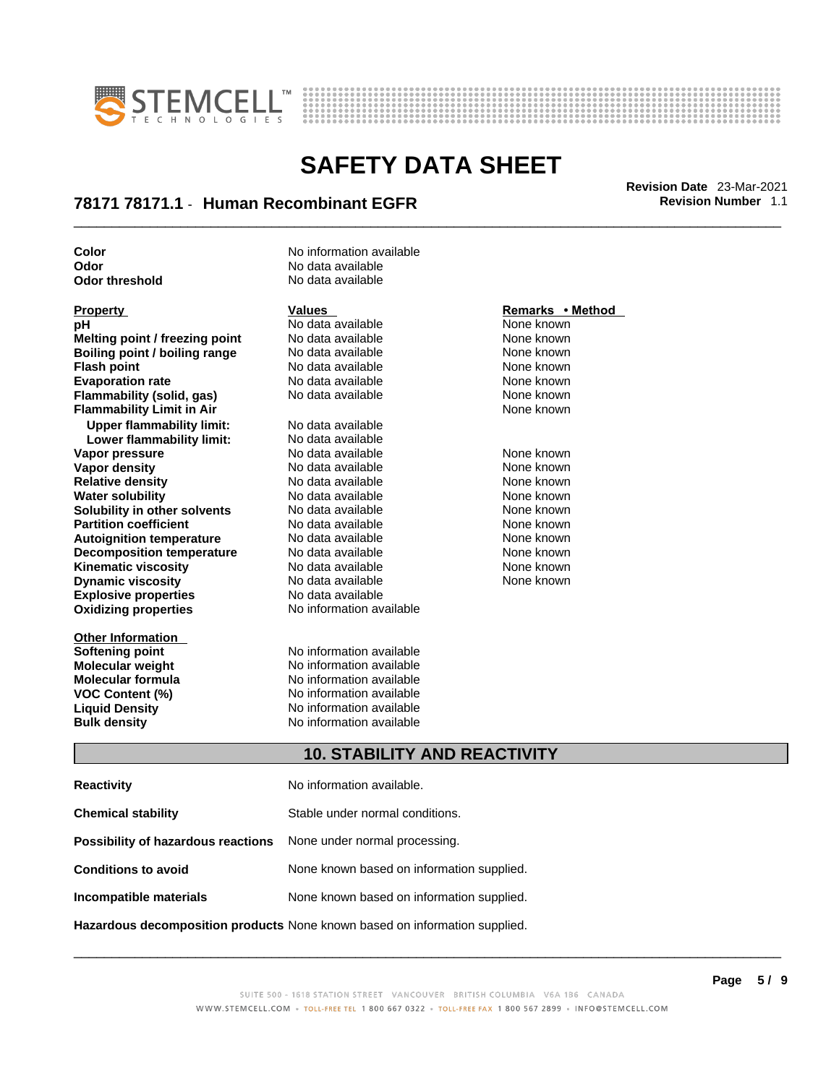



## \_\_\_\_\_\_\_\_\_\_\_\_\_\_\_\_\_\_\_\_\_\_\_\_\_\_\_\_\_\_\_\_\_\_\_\_\_\_\_\_\_\_\_\_\_\_\_\_\_\_\_\_\_\_\_\_\_\_\_\_\_\_\_\_\_\_\_\_\_\_\_\_\_\_\_\_\_\_\_\_\_\_\_\_\_\_\_\_\_\_\_\_\_ **Revision Date** 23-Mar-2021 **78171 78171.1** - **Human Recombinant EGFR Revision Number** 1.1

**Odor** threshold

**Explosive properties** No data available<br> **Oxidizing properties** No information available **pH**<br> **No data available** None known<br> **No data available** None known<br>
None known **Melting point / freezing point** No data available None known<br> **Boiling point / boiling range** No data available None known **Boiling point / boiling range** No data available None known<br> **Flash noint** None known<br>
No data available None Known **Flash point**<br> **Flash point**<br> **Fvanoration rate** None Known<br>
No data available None Known<br>
None known **Evaporation rate Flammability (solid, gas)** No data available None Known None known **Flammability Limit in Air None known None known Upper flammability limit:** No data available **Lower flammability limit:** No data available **Vapor pressure** The Society No data available and the None known<br> **Vapor density** No data available None known **Vapor density** No data available None known **Relative density 1988 Control and Social Article Relative density None known<br>
<b>Water solubility** No data available None known **Water solubility Solubility in other solvents** No data available None known **Partition coefficient No data available None known Autoignition temperature** No data available None known<br> **Decomposition temperature** No data available None known **Decomposition temperature** No data available **None known**<br>
No data available **None known**<br>
None known **Kinematic viscosity** No data available<br> **Dynamic viscosity** No data available **Dynamic viscosity No data available None known** 

**Other Information Softening point**<br> **Molecular weight**<br> **Molecular weight**<br> **Molecular weight**<br> **Molecular weight** 

**Color Color Color No** information available **Odor No data available**<br> **Odor threshold No data available** 

**No information available** 

**Molecular weight Molecular is a structure of the No information available Molecular formula Molecular System Molecular formula** No information available **VOC Content (%)** No information available **Liquid Density** No information available **Bulk density No information available** 

### **Property Remarks •** Method **Values Remarks** •**Method**

### **10. STABILITY AND REACTIVITY**

| <b>Reactivity</b>                                                       | No information available.                 |
|-------------------------------------------------------------------------|-------------------------------------------|
| <b>Chemical stability</b>                                               | Stable under normal conditions.           |
| <b>Possibility of hazardous reactions</b> None under normal processing. |                                           |
| <b>Conditions to avoid</b>                                              | None known based on information supplied. |
| Incompatible materials                                                  | None known based on information supplied. |
|                                                                         |                                           |

**Hazardous decomposition products** None known based on information supplied.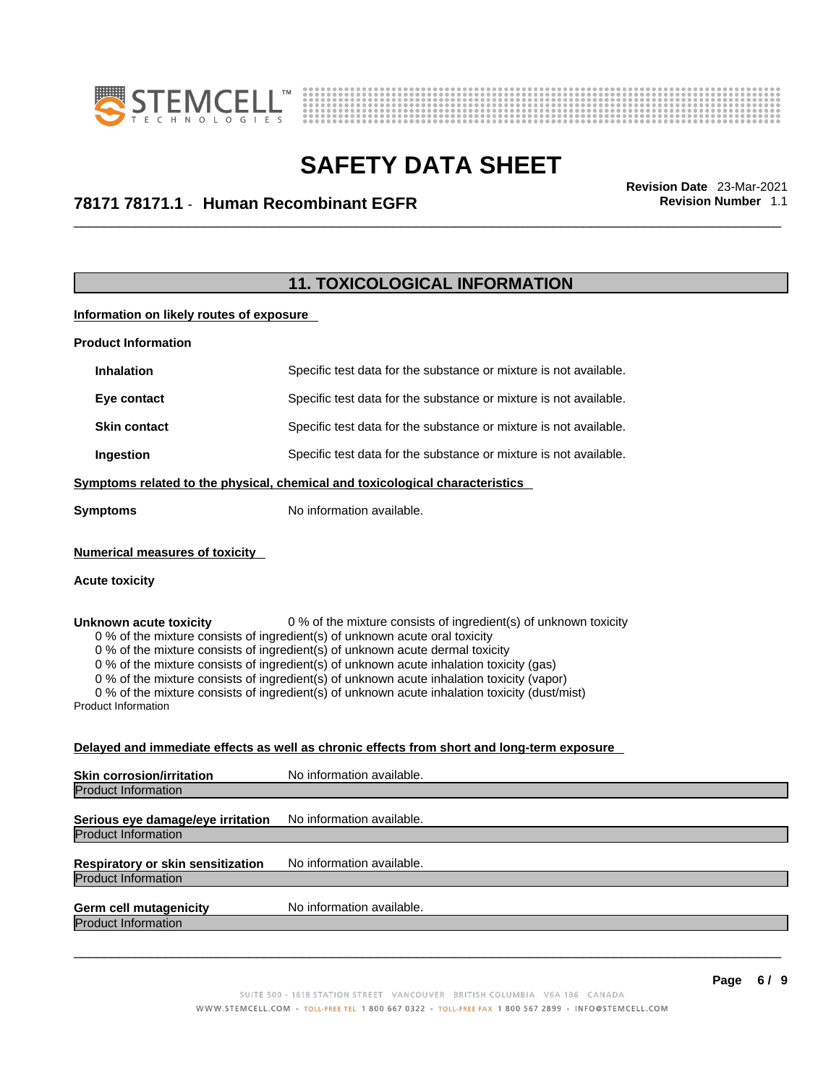



## \_\_\_\_\_\_\_\_\_\_\_\_\_\_\_\_\_\_\_\_\_\_\_\_\_\_\_\_\_\_\_\_\_\_\_\_\_\_\_\_\_\_\_\_\_\_\_\_\_\_\_\_\_\_\_\_\_\_\_\_\_\_\_\_\_\_\_\_\_\_\_\_\_\_\_\_\_\_\_\_\_\_\_\_\_\_\_\_\_\_\_\_\_ **Revision Date** 23-Mar-2021 **78171 78171.1** - **Human Recombinant EGFR Revision Number** 1.1

### **11. TOXICOLOGICAL INFORMATION**

**Information on likely routes of exposure**

| <b>Product Information</b> |                                                                              |
|----------------------------|------------------------------------------------------------------------------|
| <b>Inhalation</b>          | Specific test data for the substance or mixture is not available.            |
| Eye contact                | Specific test data for the substance or mixture is not available.            |
| <b>Skin contact</b>        | Specific test data for the substance or mixture is not available.            |
| Ingestion                  | Specific test data for the substance or mixture is not available.            |
|                            | Cumptomo related to the physical chemical and texicalegical eheracteristics. |

**Symptoms related to the physical,chemical and toxicological characteristics**

**Symptoms** No information available.

### **Numerical measures of toxicity**

### **Acute toxicity**

**Unknown acute toxicity** 0 % of the mixture consists of ingredient(s) of unknown toxicity

0 % of the mixture consists of ingredient(s) of unknown acute oral toxicity

0 % of the mixture consists of ingredient(s) of unknown acute dermal toxicity

0 % of the mixture consists of ingredient(s) of unknown acute inhalation toxicity (gas)

0 % of the mixture consists of ingredient(s) of unknown acute inhalation toxicity (vapor)

0 % of the mixture consists of ingredient(s) of unknown acute inhalation toxicity (dust/mist)

Product Information

### **Delayed and immediate effects as well as chronic effects from short and long-term exposure**

| <b>Skin corrosion/irritation</b>  | No information available. |
|-----------------------------------|---------------------------|
| <b>Product Information</b>        |                           |
| Serious eye damage/eye irritation | No information available. |
| <b>Product Information</b>        |                           |
| Respiratory or skin sensitization | No information available. |
| Product Information               |                           |
| <b>Germ cell mutagenicity</b>     | No information available. |
| <b>Product Information</b>        |                           |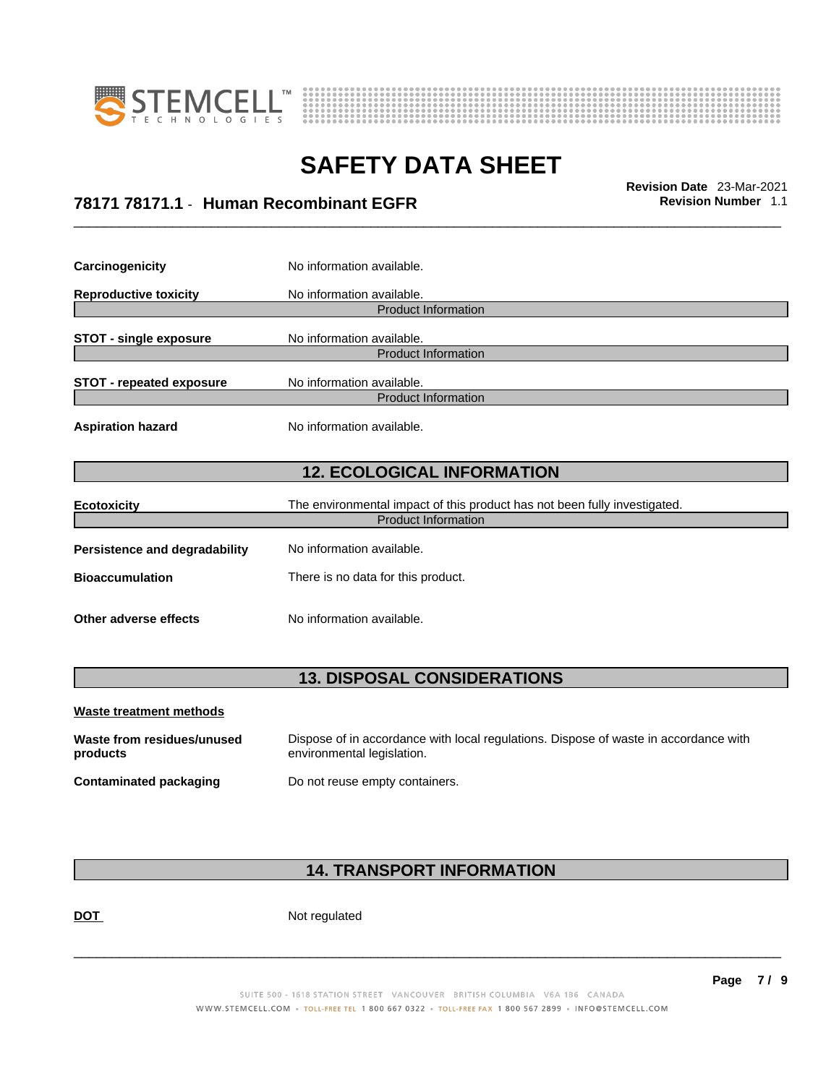



\_\_\_\_\_\_\_\_\_\_\_\_\_\_\_\_\_\_\_\_\_\_\_\_\_\_\_\_\_\_\_\_\_\_\_\_\_\_\_\_\_\_\_\_\_\_\_\_\_\_\_\_\_\_\_\_\_\_\_\_\_\_\_\_\_\_\_\_\_\_\_\_\_\_\_\_\_\_\_\_\_\_\_\_\_\_\_\_\_\_\_\_\_ **Revision Date** 23-Mar-2021 **78171 78171.1** - **Human Recombinant EGFR Revision Number** 1.1

| Carcinogenicity                                                                                 | No information available.          |  |  |
|-------------------------------------------------------------------------------------------------|------------------------------------|--|--|
| <b>Reproductive toxicity</b>                                                                    | No information available.          |  |  |
|                                                                                                 | <b>Product Information</b>         |  |  |
| <b>STOT - single exposure</b>                                                                   | No information available.          |  |  |
|                                                                                                 | <b>Product Information</b>         |  |  |
| <b>STOT - repeated exposure</b>                                                                 | No information available.          |  |  |
|                                                                                                 | <b>Product Information</b>         |  |  |
| <b>Aspiration hazard</b>                                                                        | No information available.          |  |  |
| <b>12. ECOLOGICAL INFORMATION</b>                                                               |                                    |  |  |
| The environmental impact of this product has not been fully investigated.<br><b>Ecotoxicity</b> |                                    |  |  |
| <b>Product Information</b>                                                                      |                                    |  |  |
| Persistence and degradability                                                                   | No information available.          |  |  |
| <b>Bioaccumulation</b>                                                                          | There is no data for this product. |  |  |
|                                                                                                 |                                    |  |  |

### **13. DISPOSAL CONSIDERATIONS**

| Waste treatment methods                |                                                                                                                    |
|----------------------------------------|--------------------------------------------------------------------------------------------------------------------|
| Waste from residues/unused<br>products | Dispose of in accordance with local regulations. Dispose of waste in accordance with<br>environmental legislation. |
| Contaminated packaging                 | Do not reuse empty containers.                                                                                     |

### **14. TRANSPORT INFORMATION**

DOT Not regulated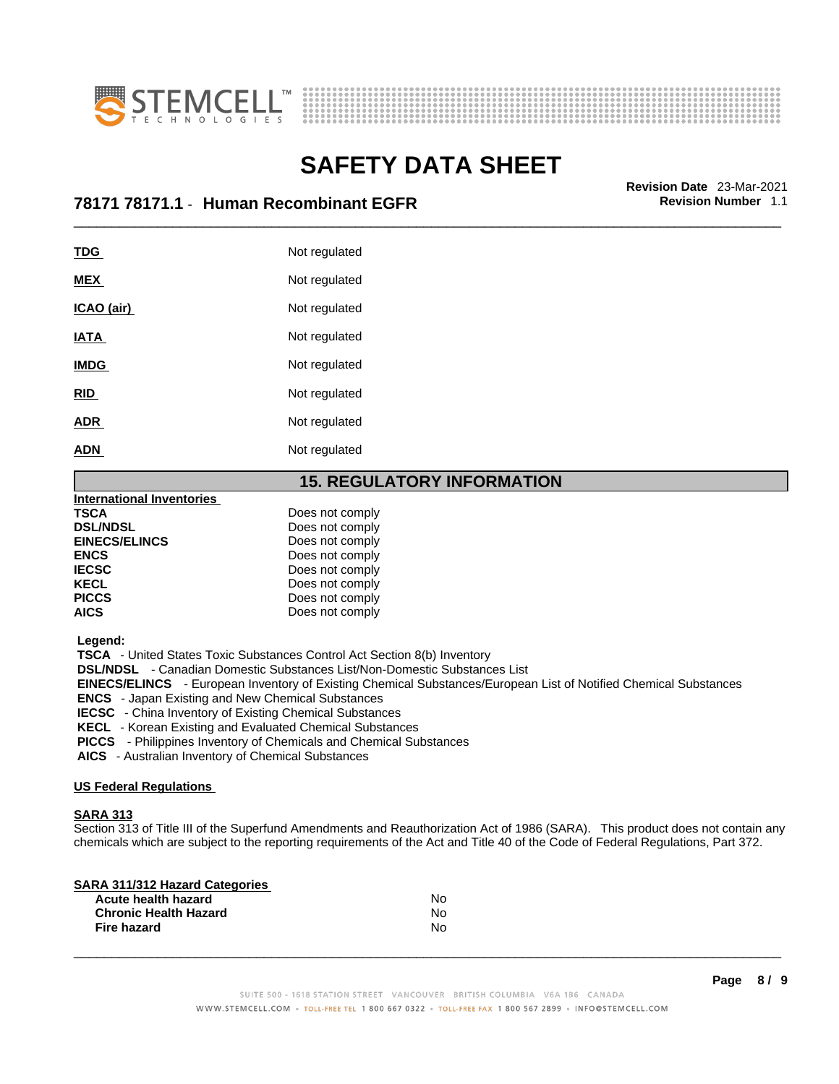



## \_\_\_\_\_\_\_\_\_\_\_\_\_\_\_\_\_\_\_\_\_\_\_\_\_\_\_\_\_\_\_\_\_\_\_\_\_\_\_\_\_\_\_\_\_\_\_\_\_\_\_\_\_\_\_\_\_\_\_\_\_\_\_\_\_\_\_\_\_\_\_\_\_\_\_\_\_\_\_\_\_\_\_\_\_\_\_\_\_\_\_\_\_ **Revision Date** 23-Mar-2021 **78171 78171.1** - **Human Recombinant EGFR Revision Number** 1.1

| <b>TDG</b>  | Not regulated |
|-------------|---------------|
| <b>MEX</b>  | Not regulated |
| ICAO (air)  | Not regulated |
| <b>IATA</b> | Not regulated |
| <b>IMDG</b> | Not regulated |
| <b>RID</b>  | Not regulated |
| <b>ADR</b>  | Not regulated |
| <b>ADN</b>  | Not regulated |
|             |               |

### **15. REGULATORY INFORMATION**

| <b>International Inventories</b> |                 |  |
|----------------------------------|-----------------|--|
| TSCA                             | Does not comply |  |
| <b>DSL/NDSL</b>                  | Does not comply |  |
| <b>EINECS/ELINCS</b>             | Does not comply |  |
| <b>ENCS</b>                      | Does not comply |  |
| <b>IECSC</b>                     | Does not comply |  |
| <b>KECL</b>                      | Does not comply |  |
| <b>PICCS</b>                     | Does not comply |  |
| AICS                             | Does not comply |  |

 **Legend:** 

 **TSCA** - United States Toxic Substances Control Act Section 8(b) Inventory

 **DSL/NDSL** - Canadian Domestic Substances List/Non-Domestic Substances List

 **EINECS/ELINCS** - European Inventory of Existing Chemical Substances/European List of Notified Chemical Substances

 **ENCS** - Japan Existing and New Chemical Substances

 **IECSC** - China Inventory of Existing Chemical Substances

 **KECL** - Korean Existing and Evaluated Chemical Substances

 **PICCS** - Philippines Inventory of Chemicals and Chemical Substances

 **AICS** - Australian Inventory of Chemical Substances

### **US Federal Regulations**

### **SARA 313**

Section 313 of Title III of the Superfund Amendments and Reauthorization Act of 1986 (SARA). This product does not contain any chemicals which are subject to the reporting requirements of the Act and Title 40 of the Code of Federal Regulations, Part 372.

| N٥ |  |
|----|--|
| N٥ |  |
| N٥ |  |
|    |  |